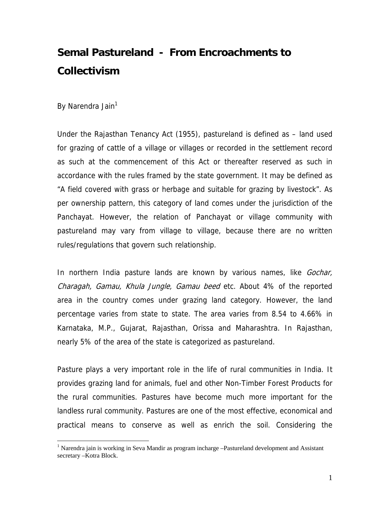# **Semal Pastureland - From Encroachments to Collectivism**

By Narendra Jain<sup>1</sup>

 $\overline{a}$ 

Under the Rajasthan Tenancy Act (1955), pastureland is defined as – land used for grazing of cattle of a village or villages or recorded in the settlement record as such at the commencement of this Act or thereafter reserved as such in accordance with the rules framed by the state government. It may be defined as "A field covered with grass or herbage and suitable for grazing by livestock". As per ownership pattern, this category of land comes under the jurisdiction of the Panchayat. However, the relation of Panchayat or village community with pastureland may vary from village to village, because there are no written rules/regulations that govern such relationship.

In northern India pasture lands are known by various names, like *Gochar*, Charagah, Gamau, Khula Jungle, Gamau beed etc. About 4% of the reported area in the country comes under grazing land category. However, the land percentage varies from state to state. The area varies from 8.54 to 4.66% in Karnataka, M.P., Gujarat, Rajasthan, Orissa and Maharashtra. In Rajasthan, nearly 5% of the area of the state is categorized as pastureland.

Pasture plays a very important role in the life of rural communities in India. It provides grazing land for animals, fuel and other Non-Timber Forest Products for the rural communities. Pastures have become much more important for the landless rural community. Pastures are one of the most effective, economical and practical means to conserve as well as enrich the soil. Considering the

<sup>&</sup>lt;sup>1</sup> Narendra jain is working in Seva Mandir as program incharge -Pastureland development and Assistant secretary –Kotra Block.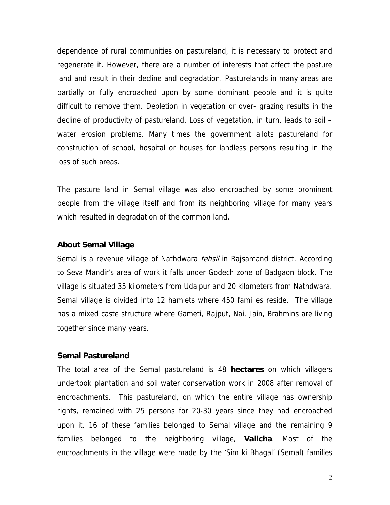dependence of rural communities on pastureland, it is necessary to protect and regenerate it. However, there are a number of interests that affect the pasture land and result in their decline and degradation. Pasturelands in many areas are partially or fully encroached upon by some dominant people and it is quite difficult to remove them. Depletion in vegetation or over- grazing results in the decline of productivity of pastureland. Loss of vegetation, in turn, leads to soil – water erosion problems. Many times the government allots pastureland for construction of school, hospital or houses for landless persons resulting in the loss of such areas.

The pasture land in Semal village was also encroached by some prominent people from the village itself and from its neighboring village for many years which resulted in degradation of the common land.

#### **About Semal Village**

Semal is a revenue village of Nathdwara *tehsil* in Rajsamand district. According to Seva Mandir's area of work it falls under Godech zone of Badgaon block. The village is situated 35 kilometers from Udaipur and 20 kilometers from Nathdwara. Semal village is divided into 12 hamlets where 450 families reside. The village has a mixed caste structure where Gameti, Rajput, Nai, Jain, Brahmins are living together since many years.

#### **Semal Pastureland**

The total area of the Semal pastureland is 48 **hectares** on which villagers undertook plantation and soil water conservation work in 2008 after removal of encroachments. This pastureland, on which the entire village has ownership rights, remained with 25 persons for 20-30 years since they had encroached upon it. 16 of these families belonged to Semal village and the remaining 9 families belonged to the neighboring village, **Valicha**. Most of the encroachments in the village were made by the 'Sim ki Bhagal' (Semal) families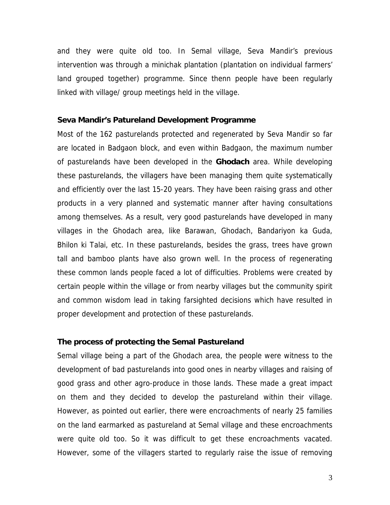and they were quite old too. In Semal village, Seva Mandir's previous intervention was through a minichak plantation (plantation on individual farmers' land grouped together) programme. Since thenn people have been regularly linked with village/ group meetings held in the village.

#### **Seva Mandir's Patureland Development Programme**

Most of the 162 pasturelands protected and regenerated by Seva Mandir so far are located in Badgaon block, and even within Badgaon, the maximum number of pasturelands have been developed in the **Ghodach** area. While developing these pasturelands, the villagers have been managing them quite systematically and efficiently over the last 15-20 years. They have been raising grass and other products in a very planned and systematic manner after having consultations among themselves. As a result, very good pasturelands have developed in many villages in the Ghodach area, like Barawan, Ghodach, Bandariyon ka Guda, Bhilon ki Talai, etc. In these pasturelands, besides the grass, trees have grown tall and bamboo plants have also grown well. In the process of regenerating these common lands people faced a lot of difficulties. Problems were created by certain people within the village or from nearby villages but the community spirit and common wisdom lead in taking farsighted decisions which have resulted in proper development and protection of these pasturelands.

### **The process of protecting the Semal Pastureland**

Semal village being a part of the Ghodach area, the people were witness to the development of bad pasturelands into good ones in nearby villages and raising of good grass and other agro-produce in those lands. These made a great impact on them and they decided to develop the pastureland within their village. However, as pointed out earlier, there were encroachments of nearly 25 families on the land earmarked as pastureland at Semal village and these encroachments were quite old too. So it was difficult to get these encroachments vacated. However, some of the villagers started to regularly raise the issue of removing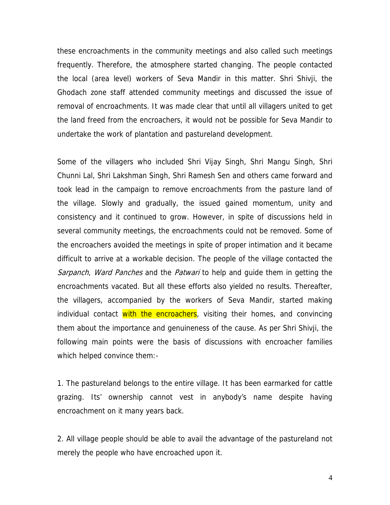these encroachments in the community meetings and also called such meetings frequently. Therefore, the atmosphere started changing. The people contacted the local (area level) workers of Seva Mandir in this matter. Shri Shivji, the Ghodach zone staff attended community meetings and discussed the issue of removal of encroachments. It was made clear that until all villagers united to get the land freed from the encroachers, it would not be possible for Seva Mandir to undertake the work of plantation and pastureland development.

Some of the villagers who included Shri Vijay Singh, Shri Mangu Singh, Shri Chunni Lal, Shri Lakshman Singh, Shri Ramesh Sen and others came forward and took lead in the campaign to remove encroachments from the pasture land of the village. Slowly and gradually, the issued gained momentum, unity and consistency and it continued to grow. However, in spite of discussions held in several community meetings, the encroachments could not be removed. Some of the encroachers avoided the meetings in spite of proper intimation and it became difficult to arrive at a workable decision. The people of the village contacted the Sarpanch, Ward Panches and the Patwari to help and guide them in getting the encroachments vacated. But all these efforts also yielded no results. Thereafter, the villagers, accompanied by the workers of Seva Mandir, started making individual contact with the encroachers, visiting their homes, and convincing them about the importance and genuineness of the cause. As per Shri Shivji, the following main points were the basis of discussions with encroacher families which helped convince them:-

1. The pastureland belongs to the entire village. It has been earmarked for cattle grazing. Its' ownership cannot vest in anybody's name despite having encroachment on it many years back.

2. All village people should be able to avail the advantage of the pastureland not merely the people who have encroached upon it.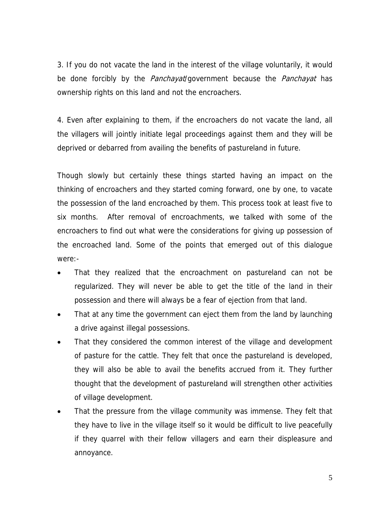3. If you do not vacate the land in the interest of the village voluntarily, it would be done forcibly by the *Panchayat*/government because the *Panchayat* has ownership rights on this land and not the encroachers.

4. Even after explaining to them, if the encroachers do not vacate the land, all the villagers will jointly initiate legal proceedings against them and they will be deprived or debarred from availing the benefits of pastureland in future.

Though slowly but certainly these things started having an impact on the thinking of encroachers and they started coming forward, one by one, to vacate the possession of the land encroached by them. This process took at least five to six months. After removal of encroachments, we talked with some of the encroachers to find out what were the considerations for giving up possession of the encroached land. Some of the points that emerged out of this dialogue were:-

- That they realized that the encroachment on pastureland can not be regularized. They will never be able to get the title of the land in their possession and there will always be a fear of ejection from that land.
- That at any time the government can eject them from the land by launching a drive against illegal possessions.
- That they considered the common interest of the village and development of pasture for the cattle. They felt that once the pastureland is developed, they will also be able to avail the benefits accrued from it. They further thought that the development of pastureland will strengthen other activities of village development.
- That the pressure from the village community was immense. They felt that they have to live in the village itself so it would be difficult to live peacefully if they quarrel with their fellow villagers and earn their displeasure and annoyance.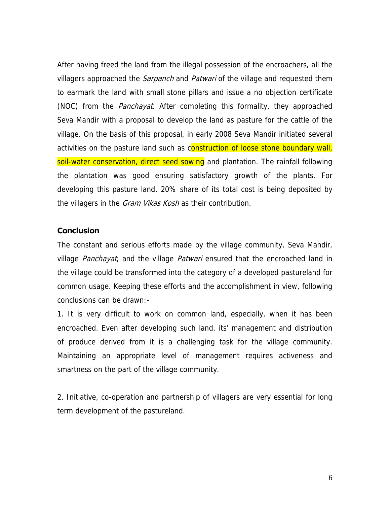After having freed the land from the illegal possession of the encroachers, all the villagers approached the *Sarpanch* and *Patwari* of the village and requested them to earmark the land with small stone pillars and issue a no objection certificate (NOC) from the *Panchayat*. After completing this formality, they approached Seva Mandir with a proposal to develop the land as pasture for the cattle of the village. On the basis of this proposal, in early 2008 Seva Mandir initiated several activities on the pasture land such as construction of loose stone boundary wall, soil-water conservation, direct seed sowing and plantation. The rainfall following the plantation was good ensuring satisfactory growth of the plants. For developing this pasture land, 20% share of its total cost is being deposited by the villagers in the *Gram Vikas Kosh* as their contribution.

## **Conclusion**

The constant and serious efforts made by the village community, Seva Mandir, village *Panchayat*, and the village *Patwari* ensured that the encroached land in the village could be transformed into the category of a developed pastureland for common usage. Keeping these efforts and the accomplishment in view, following conclusions can be drawn:-

1. It is very difficult to work on common land, especially, when it has been encroached. Even after developing such land, its' management and distribution of produce derived from it is a challenging task for the village community. Maintaining an appropriate level of management requires activeness and smartness on the part of the village community.

2. Initiative, co-operation and partnership of villagers are very essential for long term development of the pastureland.